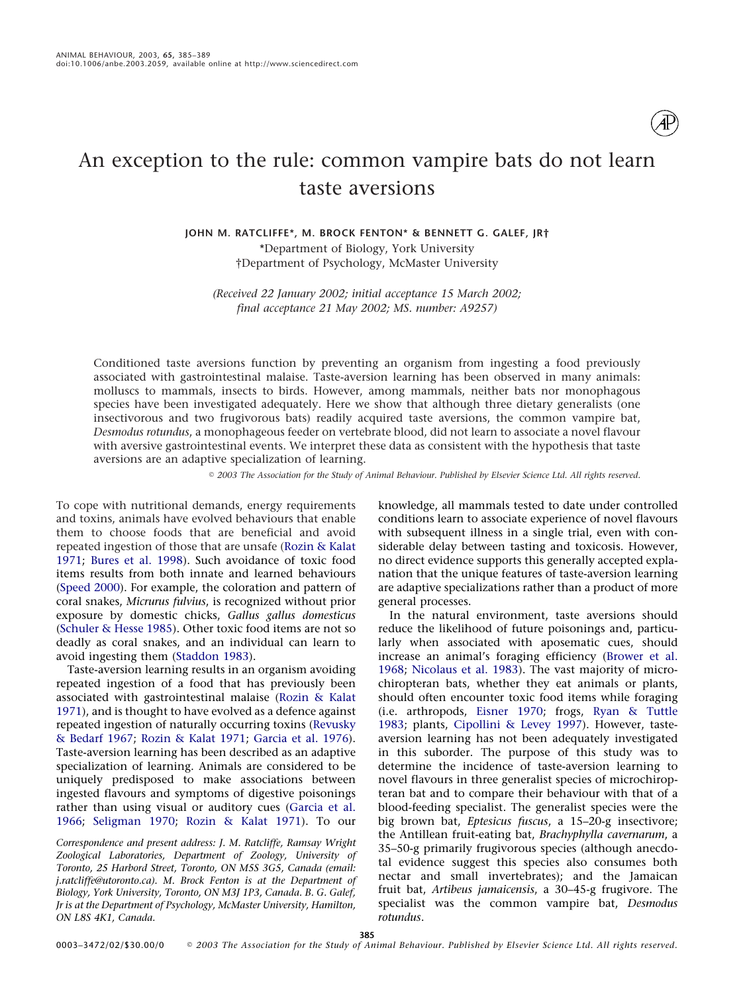

# An exception to the rule: common vampire bats do not learn taste aversions

**JOHN M. RATCLIFFE\*, M. BROCK FENTON\* & BENNETT G. GALEF, JR†** \*Department of Biology, York University †Department of Psychology, McMaster University

*(Received 22 January 2002; initial acceptance 15 March 2002; final acceptance 21 May 2002; MS. number: A9257)*

Conditioned taste aversions function by preventing an organism from ingesting a food previously associated with gastrointestinal malaise. Taste-aversion learning has been observed in many animals: molluscs to mammals, insects to birds. However, among mammals, neither bats nor monophagous species have been investigated adequately. Here we show that although three dietary generalists (one insectivorous and two frugivorous bats) readily acquired taste aversions, the common vampire bat, *Desmodus rotundus*, a monophageous feeder on vertebrate blood, did not learn to associate a novel flavour with aversive gastrointestinal events. We interpret these data as consistent with the hypothesis that taste aversions are an adaptive specialization of learning.

*2003 The Association for the Study of Animal Behaviour. Published by Elsevier Science Ltd. All rights reserved.*

To cope with nutritional demands, energy requirements and toxins, animals have evolved behaviours that enable them to choose foods that are beneficial and avoid repeated ingestion of those that are unsafe [\(Rozin & Kalat](#page-4-0) [1971;](#page-4-0) [Bures et al. 1998\)](#page-4-1). Such avoidance of toxic food items results from both innate and learned behaviours [\(Speed 2000\)](#page-4-2). For example, the coloration and pattern of coral snakes, *Micrurus fulvius*, is recognized without prior exposure by domestic chicks, *Gallus gallus domesticus* [\(Schuler & Hesse 1985\)](#page-4-3). Other toxic food items are not so deadly as coral snakes, and an individual can learn to avoid ingesting them [\(Staddon 1983\)](#page-4-4).

Taste-aversion learning results in an organism avoiding repeated ingestion of a food that has previously been associated with gastrointestinal malaise [\(Rozin & Kalat](#page-4-0) [1971\)](#page-4-0), and is thought to have evolved as a defence against repeated ingestion of naturally occurring toxins [\(Revusky](#page-4-5) [& Bedarf 1967;](#page-4-5) [Rozin & Kalat 1971;](#page-4-0) [Garcia et al. 1976\)](#page-4-6). Taste-aversion learning has been described as an adaptive specialization of learning. Animals are considered to be uniquely predisposed to make associations between ingested flavours and symptoms of digestive poisonings rather than using visual or auditory cues [\(Garcia et al.](#page-4-7) [1966;](#page-4-7) [Seligman 1970;](#page-4-8) [Rozin & Kalat 1971\)](#page-4-0). To our

*Correspondence and present address: J. M. Ratcliffe, Ramsay Wright Zoological Laboratories, Department of Zoology, University of Toronto, 25 Harbord Street, Toronto, ON M5S 3G5, Canada (email: j.ratcliffe@utoronto.ca). M. Brock Fenton is at the Department of Biology, York University, Toronto, ON M3J 1P3, Canada. B. G. Galef, Jr is at the Department of Psychology, McMaster University, Hamilton, ON L8S 4K1, Canada.*

knowledge, all mammals tested to date under controlled conditions learn to associate experience of novel flavours with subsequent illness in a single trial, even with considerable delay between tasting and toxicosis. However, no direct evidence supports this generally accepted explanation that the unique features of taste-aversion learning are adaptive specializations rather than a product of more general processes.

In the natural environment, taste aversions should reduce the likelihood of future poisonings and, particularly when associated with aposematic cues, should increase an animal's foraging efficiency [\(Brower et al.](#page-4-9) [1968;](#page-4-9) [Nicolaus et al. 1983\)](#page-4-10). The vast majority of microchiropteran bats, whether they eat animals or plants, should often encounter toxic food items while foraging (i.e. arthropods, [Eisner 1970;](#page-4-11) frogs, [Ryan & Tuttle](#page-4-12) [1983;](#page-4-12) plants, [Cipollini & Levey 1997\)](#page-4-13). However, tasteaversion learning has not been adequately investigated in this suborder. The purpose of this study was to determine the incidence of taste-aversion learning to novel flavours in three generalist species of microchiropteran bat and to compare their behaviour with that of a blood-feeding specialist. The generalist species were the big brown bat, *Eptesicus fuscus*, a 15–20-g insectivore; the Antillean fruit-eating bat, *Brachyphylla cavernarum*, a 35–50-g primarily frugivorous species (although anecdotal evidence suggest this species also consumes both nectar and small invertebrates); and the Jamaican fruit bat, *Artibeus jamaicensis*, a 30–45-g frugivore. The specialist was the common vampire bat, *Desmodus rotundus*.

**385**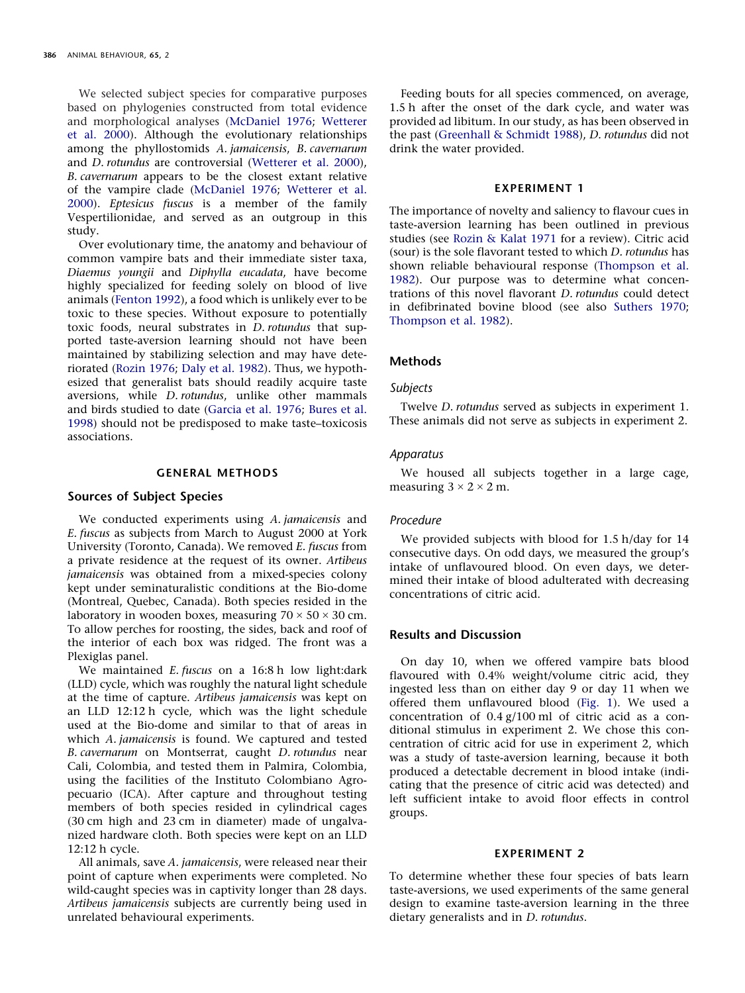We selected subject species for comparative purposes based on phylogenies constructed from total evidence and morphological analyses [\(McDaniel 1976;](#page-4-14) [Wetterer](#page-4-15) [et al. 2000\)](#page-4-15). Although the evolutionary relationships among the phyllostomids *A. jamaicensis*, *B. cavernarum* and *D. rotundus* are controversial [\(Wetterer et al. 2000\)](#page-4-15), *B. cavernarum* appears to be the closest extant relative of the vampire clade [\(McDaniel 1976;](#page-4-14) [Wetterer et al.](#page-4-15) [2000\)](#page-4-15). *Eptesicus fuscus* is a member of the family Vespertilionidae, and served as an outgroup in this study.

Over evolutionary time, the anatomy and behaviour of common vampire bats and their immediate sister taxa, *Diaemus youngii* and *Diphylla eucadata*, have become highly specialized for feeding solely on blood of live animals [\(Fenton 1992\)](#page-4-16), a food which is unlikely ever to be toxic to these species. Without exposure to potentially toxic foods, neural substrates in *D. rotundus* that supported taste-aversion learning should not have been maintained by stabilizing selection and may have deteriorated [\(Rozin 1976;](#page-4-17) [Daly et al. 1982\)](#page-4-18). Thus, we hypothesized that generalist bats should readily acquire taste aversions, while *D. rotundus*, unlike other mammals and birds studied to date [\(Garcia et al. 1976;](#page-4-6) [Bures et al.](#page-4-1) [1998\)](#page-4-1) should not be predisposed to make taste–toxicosis associations.

#### **GENERAL METHODS**

# **Sources of Subject Species**

We conducted experiments using *A. jamaicensis* and *E. fuscus* as subjects from March to August 2000 at York University (Toronto, Canada). We removed *E. fuscus* from a private residence at the request of its owner. *Artibeus jamaicensis* was obtained from a mixed-species colony kept under seminaturalistic conditions at the Bio-dome (Montreal, Quebec, Canada). Both species resided in the laboratory in wooden boxes, measuring  $70 \times 50 \times 30$  cm. To allow perches for roosting, the sides, back and roof of the interior of each box was ridged. The front was a Plexiglas panel.

We maintained *E. fuscus* on a 16:8 h low light:dark (LLD) cycle, which was roughly the natural light schedule at the time of capture. *Artibeus jamaicensis* was kept on an LLD 12:12 h cycle, which was the light schedule used at the Bio-dome and similar to that of areas in which *A. jamaicensis* is found. We captured and tested *B. cavernarum* on Montserrat, caught *D. rotundus* near Cali, Colombia, and tested them in Palmira, Colombia, using the facilities of the Instituto Colombiano Agropecuario (ICA). After capture and throughout testing members of both species resided in cylindrical cages (30 cm high and 23 cm in diameter) made of ungalvanized hardware cloth. Both species were kept on an LLD 12:12 h cycle.

All animals, save *A. jamaicensis*, were released near their point of capture when experiments were completed. No wild-caught species was in captivity longer than 28 days. *Artibeus jamaicensis* subjects are currently being used in unrelated behavioural experiments.

Feeding bouts for all species commenced, on average, 1.5 h after the onset of the dark cycle, and water was provided ad libitum. In our study, as has been observed in the past [\(Greenhall & Schmidt 1988\)](#page-4-19), *D. rotundus* did not drink the water provided.

#### **EXPERIMENT 1**

The importance of novelty and saliency to flavour cues in taste-aversion learning has been outlined in previous studies (see [Rozin & Kalat 1971](#page-4-0) for a review). Citric acid (sour) is the sole flavorant tested to which *D. rotundus* has shown reliable behavioural response [\(Thompson et al.](#page-4-20) [1982\)](#page-4-20). Our purpose was to determine what concentrations of this novel flavorant *D. rotundus* could detect in defibrinated bovine blood (see also [Suthers 1970;](#page-4-21) [Thompson et al. 1982\)](#page-4-20).

#### **Methods**

#### *Subjects*

Twelve *D. rotundus* served as subjects in experiment 1. These animals did not serve as subjects in experiment 2.

#### *Apparatus*

We housed all subjects together in a large cage, measuring  $3 \times 2 \times 2$  m.

#### *Procedure*

We provided subjects with blood for 1.5 h/day for 14 consecutive days. On odd days, we measured the group's intake of unflavoured blood. On even days, we determined their intake of blood adulterated with decreasing concentrations of citric acid.

# **Results and Discussion**

On day 10, when we offered vampire bats blood flavoured with 0.4% weight/volume citric acid, they ingested less than on either day 9 or day 11 when we offered them unflavoured blood [\(Fig. 1\)](#page-2-0). We used a concentration of 0.4 g/100 ml of citric acid as a conditional stimulus in experiment 2. We chose this concentration of citric acid for use in experiment 2, which was a study of taste-aversion learning, because it both produced a detectable decrement in blood intake (indicating that the presence of citric acid was detected) and left sufficient intake to avoid floor effects in control groups.

#### **EXPERIMENT 2**

To determine whether these four species of bats learn taste-aversions, we used experiments of the same general design to examine taste-aversion learning in the three dietary generalists and in *D. rotundus*.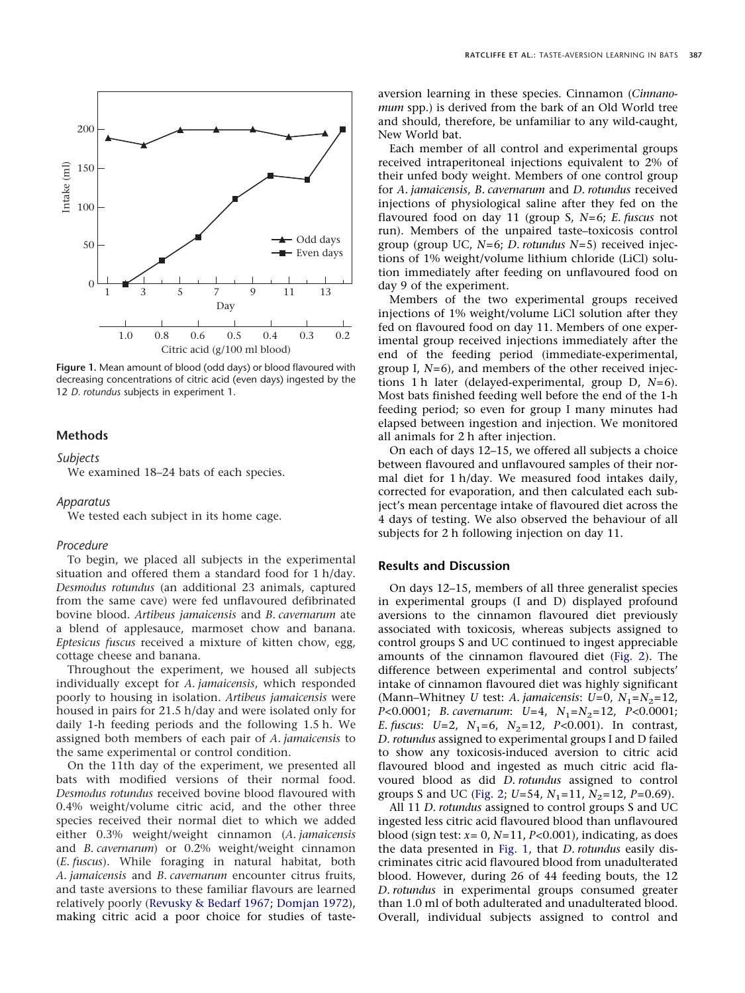<span id="page-2-0"></span>

**Figure 1.** Mean amount of blood (odd days) or blood flavoured with decreasing concentrations of citric acid (even days) ingested by the 12 *D. rotundus* subjects in experiment 1.

# **Methods**

#### *Subjects*

We examined 18–24 bats of each species.

#### *Apparatus*

We tested each subject in its home cage.

#### *Procedure*

To begin, we placed all subjects in the experimental situation and offered them a standard food for 1 h/day. *Desmodus rotundus* (an additional 23 animals, captured from the same cave) were fed unflavoured defibrinated bovine blood. *Artibeus jamaicensis* and *B. cavernarum* ate a blend of applesauce, marmoset chow and banana. *Eptesicus fuscus* received a mixture of kitten chow, egg, cottage cheese and banana.

Throughout the experiment, we housed all subjects individually except for *A. jamaicensis*, which responded poorly to housing in isolation. *Artibeus jamaicensis* were housed in pairs for 21.5 h/day and were isolated only for daily 1-h feeding periods and the following 1.5 h. We assigned both members of each pair of *A. jamaicensis* to the same experimental or control condition.

On the 11th day of the experiment, we presented all bats with modified versions of their normal food. *Desmodus rotundus* received bovine blood flavoured with 0.4% weight/volume citric acid, and the other three species received their normal diet to which we added either 0.3% weight/weight cinnamon (*A. jamaicensis* and *B. cavernarum*) or 0.2% weight/weight cinnamon (*E. fuscus*). While foraging in natural habitat, both *A. jamaicensis* and *B. cavernarum* encounter citrus fruits, and taste aversions to these familiar flavours are learned relatively poorly [\(Revusky & Bedarf 1967;](#page-4-5) [Domjan 1972\)](#page-4-22), making citric acid a poor choice for studies of tasteaversion learning in these species. Cinnamon (*Cinnanomum* spp.) is derived from the bark of an Old World tree and should, therefore, be unfamiliar to any wild-caught, New World bat.

Each member of all control and experimental groups received intraperitoneal injections equivalent to 2% of their unfed body weight. Members of one control group for *A. jamaicensis*, *B. cavernarum* and *D. rotundus* received injections of physiological saline after they fed on the flavoured food on day 11 (group S, *N*=6; *E. fuscus* not run). Members of the unpaired taste–toxicosis control group (group UC, *N*=6; *D. rotundus N*=5) received injections of 1% weight/volume lithium chloride (LiCl) solution immediately after feeding on unflavoured food on day 9 of the experiment.

Members of the two experimental groups received injections of 1% weight/volume LiCl solution after they fed on flavoured food on day 11. Members of one experimental group received injections immediately after the end of the feeding period (immediate-experimental, group I, *N*=6), and members of the other received injections 1 h later (delayed-experimental, group D, *N*=6). Most bats finished feeding well before the end of the 1-h feeding period; so even for group I many minutes had elapsed between ingestion and injection. We monitored all animals for 2 h after injection.

On each of days 12–15, we offered all subjects a choice between flavoured and unflavoured samples of their normal diet for 1 h/day. We measured food intakes daily, corrected for evaporation, and then calculated each subject's mean percentage intake of flavoured diet across the 4 days of testing. We also observed the behaviour of all subjects for 2 h following injection on day 11.

# **Results and Discussion**

On days 12–15, members of all three generalist species in experimental groups (I and D) displayed profound aversions to the cinnamon flavoured diet previously associated with toxicosis, whereas subjects assigned to control groups S and UC continued to ingest appreciable amounts of the cinnamon flavoured diet [\(Fig. 2\)](#page-3-0). The difference between experimental and control subjects' intake of cinnamon flavoured diet was highly significant (Mann–Whitney *U* test: *A. jamaicensis: U*=0,  $N_1 = N_2 = 12$ , *P*<0.0001; *B. cavernarum: U*=4,  $N_1$ = $N_2$ =12, *P*<0.0001; *E. fuscus*: *U*=2, *N*<sub>1</sub>=6, *N*<sub>2</sub>=12, *P*<0.001). In contrast, *D. rotundus* assigned to experimental groups I and D failed to show any toxicosis-induced aversion to citric acid flavoured blood and ingested as much citric acid flavoured blood as did *D. rotundus* assigned to control groups S and UC [\(Fig. 2;](#page-3-0)  $U=54$ ,  $N_1=11$ ,  $N_2=12$ ,  $P=0.69$ ).

All 11 *D. rotundus* assigned to control groups S and UC ingested less citric acid flavoured blood than unflavoured blood (sign test: *x*= 0, *N*=11, *P<*0.001), indicating, as does the data presented in [Fig. 1,](#page-2-0) that *D. rotundus* easily discriminates citric acid flavoured blood from unadulterated blood. However, during 26 of 44 feeding bouts, the 12 *D. rotundus* in experimental groups consumed greater than 1.0 ml of both adulterated and unadulterated blood. Overall, individual subjects assigned to control and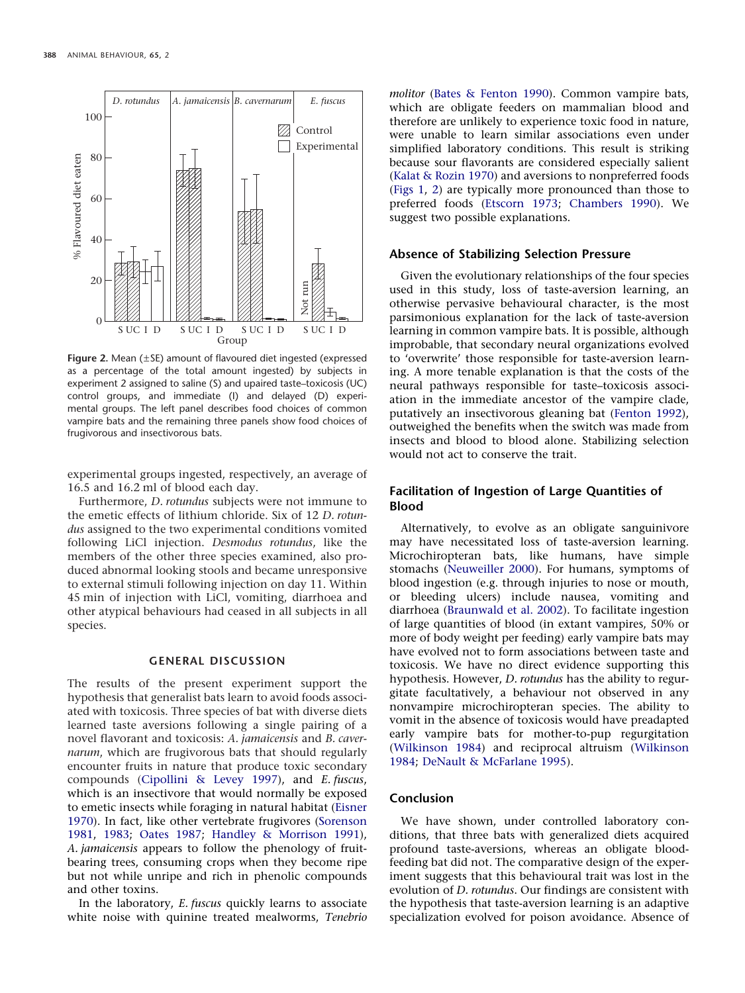<span id="page-3-0"></span>

**Figure 2.** Mean (±SE) amount of flavoured diet ingested (expressed as a percentage of the total amount ingested) by subjects in experiment 2 assigned to saline (S) and upaired taste–toxicosis (UC) control groups, and immediate (I) and delayed (D) experimental groups. The left panel describes food choices of common vampire bats and the remaining three panels show food choices of frugivorous and insectivorous bats.

experimental groups ingested, respectively, an average of 16.5 and 16.2 ml of blood each day.

Furthermore, *D. rotundus* subjects were not immune to the emetic effects of lithium chloride. Six of 12 *D. rotundus* assigned to the two experimental conditions vomited following LiCl injection. *Desmodus rotundus*, like the members of the other three species examined, also produced abnormal looking stools and became unresponsive to external stimuli following injection on day 11. Within 45 min of injection with LiCl, vomiting, diarrhoea and other atypical behaviours had ceased in all subjects in all species.

## **GENERAL DISCUSSION**

The results of the present experiment support the hypothesis that generalist bats learn to avoid foods associated with toxicosis. Three species of bat with diverse diets learned taste aversions following a single pairing of a novel flavorant and toxicosis: *A. jamaicensis* and *B. cavernarum*, which are frugivorous bats that should regularly encounter fruits in nature that produce toxic secondary compounds [\(Cipollini & Levey 1997\)](#page-4-13), and *E. fuscus*, which is an insectivore that would normally be exposed to emetic insects while foraging in natural habitat [\(Eisner](#page-4-11) [1970\)](#page-4-11). In fact, like other vertebrate frugivores [\(Sorenson](#page-4-23) [1981,](#page-4-23) [1983;](#page-4-24) [Oates 1987;](#page-4-25) [Handley & Morrison 1991\)](#page-4-26), *A. jamaicensis* appears to follow the phenology of fruitbearing trees, consuming crops when they become ripe but not while unripe and rich in phenolic compounds and other toxins.

In the laboratory, *E. fuscus* quickly learns to associate white noise with quinine treated mealworms, *Tenebrio* *molitor* [\(Bates & Fenton 1990\)](#page-4-27). Common vampire bats, which are obligate feeders on mammalian blood and therefore are unlikely to experience toxic food in nature, were unable to learn similar associations even under simplified laboratory conditions. This result is striking because sour flavorants are considered especially salient [\(Kalat & Rozin 1970\)](#page-4-28) and aversions to nonpreferred foods [\(Figs 1,](#page-2-0) [2\)](#page-3-0) are typically more pronounced than those to preferred foods [\(Etscorn 1973;](#page-4-29) [Chambers 1990\)](#page-4-30). We suggest two possible explanations.

#### **Absence of Stabilizing Selection Pressure**

Given the evolutionary relationships of the four species used in this study, loss of taste-aversion learning, an otherwise pervasive behavioural character, is the most parsimonious explanation for the lack of taste-aversion learning in common vampire bats. It is possible, although improbable, that secondary neural organizations evolved to 'overwrite' those responsible for taste-aversion learning. A more tenable explanation is that the costs of the neural pathways responsible for taste–toxicosis association in the immediate ancestor of the vampire clade, putatively an insectivorous gleaning bat [\(Fenton 1992\)](#page-4-16), outweighed the benefits when the switch was made from insects and blood to blood alone. Stabilizing selection would not act to conserve the trait.

# **Facilitation of Ingestion of Large Quantities of Blood**

Alternatively, to evolve as an obligate sanguinivore may have necessitated loss of taste-aversion learning. Microchiropteran bats, like humans, have simple stomachs [\(Neuweiller 2000\)](#page-4-31). For humans, symptoms of blood ingestion (e.g. through injuries to nose or mouth, or bleeding ulcers) include nausea, vomiting and diarrhoea [\(Braunwald et al. 2002\)](#page-4-32). To facilitate ingestion of large quantities of blood (in extant vampires, 50% or more of body weight per feeding) early vampire bats may have evolved not to form associations between taste and toxicosis. We have no direct evidence supporting this hypothesis. However, *D. rotundus* has the ability to regurgitate facultatively, a behaviour not observed in any nonvampire microchiropteran species. The ability to vomit in the absence of toxicosis would have preadapted early vampire bats for mother-to-pup regurgitation [\(Wilkinson 1984\)](#page-4-33) and reciprocal altruism [\(Wilkinson](#page-4-33) [1984;](#page-4-33) [DeNault & McFarlane 1995\)](#page-4-34).

#### **Conclusion**

We have shown, under controlled laboratory conditions, that three bats with generalized diets acquired profound taste-aversions, whereas an obligate bloodfeeding bat did not. The comparative design of the experiment suggests that this behavioural trait was lost in the evolution of *D. rotundus*. Our findings are consistent with the hypothesis that taste-aversion learning is an adaptive specialization evolved for poison avoidance. Absence of